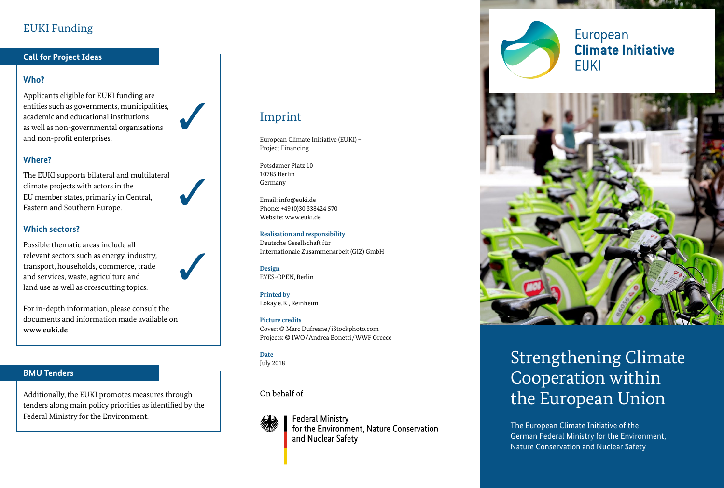# EUKI Funding

### **Call for Project Ideas**

# **Who?**

Applicants eligible for EUKI funding are entities such as governments, municipalities, academic and educational institutions as well as non-governmental organisations and non-profit enterprises.



# **Where?**

The EUKI supports bilateral and multilateral climate projects with actors in the EU member states, primarily in Central, Eastern and Southern Europe.

## **Which sectors?**

Possible thematic areas include all relevant sectors such as energy, industry, transport, households, commerce, trade and services, waste, agriculture and land use as well as crosscutting topics.

For in-depth information, please consult the documents and information made available on **www.euki.de**

## **BMU Tenders**

Additionally, the EUKI promotes measures through tenders along main policy priorities as identified by the Federal Ministry for the Environment.

# Imprint

European Climate Initiative (EUKI) – Project Financing

Potsdamer Platz 10 10785 Berlin Germany

Email: info@euki.de Phone: +49 (0)30 338424 570 Website: www.euki.de

#### **Realisation and responsibility**

Deutsche Gesellschaft für Internationale Zusammenarbeit (GIZ) GmbH

**Design** EYES-OPEN, Berlin

**Printed by** Lokay e.K., Reinheim

#### **Picture credits**

Cover: © Marc Dufresne/ iStockphoto.com Projects: © IWO/Andrea Bonetti/WWF Greece

**Date** July 2018

On behalf of



**Federal Ministry** for the Environment. Nature Conservation and Nuclear Safety

European **Climate Initiative FUKI** 



# Strengthening Climate Cooperation within the European Union

The European Climate Initiative of the German Federal Ministry for the Environment, Nature Conservation and Nuclear Safety



✓